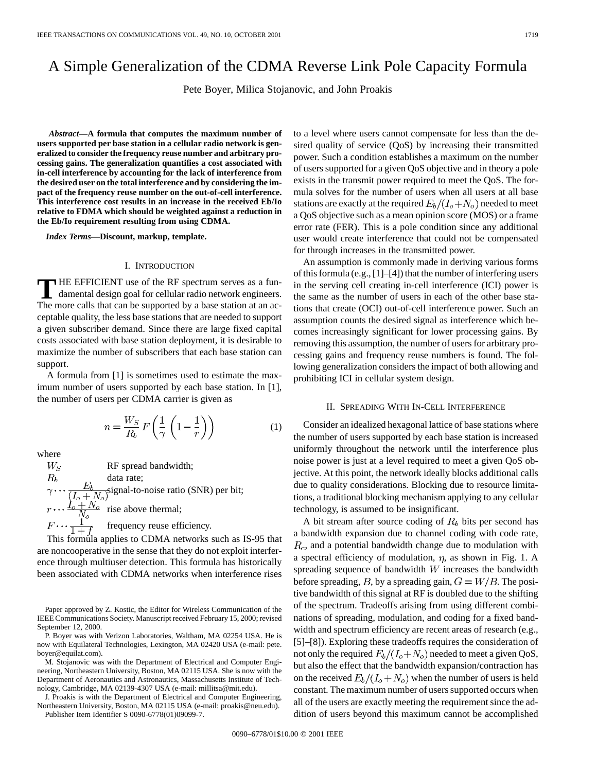# A Simple Generalization of the CDMA Reverse Link Pole Capacity Formula

Pete Boyer, Milica Stojanovic, and John Proakis

*Abstract—***A formula that computes the maximum number of users supported per base station in a cellular radio network is generalized to consider the frequency reuse number and arbitrary processing gains. The generalization quantifies a cost associated with in-cell interference by accounting for the lack of interference from the desired user on the total interference and by considering the impact of the frequency reuse number on the out-of-cell interference. This interference cost results in an increase in the received Eb/Io relative to FDMA which should be weighted against a reduction in the Eb/Io requirement resulting from using CDMA.**

*Index Terms—***Discount, markup, template.**

### I. INTRODUCTION

**T** HE EFFICIENT use of the RF spectrum serves as a fun-<br>damental design goal for cellular radio network engineers. The more calls that can be supported by a base station at an acceptable quality, the less base stations that are needed to support a given subscriber demand. Since there are large fixed capital costs associated with base station deployment, it is desirable to maximize the number of subscribers that each base station can support.

A formula from [1] is sometimes used to estimate the maximum number of users supported by each base station. In [1], the number of users per CDMA carrier is given as

$$
n = \frac{W_S}{R_b} F\left(\frac{1}{\gamma} \left(1 - \frac{1}{r}\right)\right) \tag{1}
$$

where

 $W_S$ RF spread bandwidth; data rate; signal-to-noise ratio (SNR) per bit; rise above thermal; frequency reuse efficiency.

This formula applies to CDMA networks such as IS-95 that are noncooperative in the sense that they do not exploit interference through multiuser detection. This formula has historically been associated with CDMA networks when interference rises

P. Boyer was with Verizon Laboratories, Waltham, MA 02254 USA. He is now with Equilateral Technologies, Lexington, MA 02420 USA (e-mail: pete. boyer@equilat.com).

M. Stojanovic was with the Department of Electrical and Computer Engineering, Northeastern University, Boston, MA 02115 USA. She is now with the Department of Aeronautics and Astronautics, Massachusetts Institute of Technology, Cambridge, MA 02139-4307 USA (e-mail: millitsa@mit.edu).

J. Proakis is with the Department of Electrical and Computer Engineering, Northeastern University, Boston, MA 02115 USA (e-mail: proakis@neu.edu).

Publisher Item Identifier S 0090-6778(01)09099-7.

to a level where users cannot compensate for less than the desired quality of service (QoS) by increasing their transmitted power. Such a condition establishes a maximum on the number of users supported for a given QoS objective and in theory a pole exists in the transmit power required to meet the QoS. The formula solves for the number of users when all users at all base stations are exactly at the required  $E_b/(I_o+N_o)$  needed to meet a QoS objective such as a mean opinion score (MOS) or a frame error rate (FER). This is a pole condition since any additional user would create interference that could not be compensated for through increases in the transmitted power.

An assumption is commonly made in deriving various forms of this formula (e.g., [1]–[4]) that the number of interfering users in the serving cell creating in-cell interference (ICI) power is the same as the number of users in each of the other base stations that create (OCI) out-of-cell interference power. Such an assumption counts the desired signal as interference which becomes increasingly significant for lower processing gains. By removing this assumption, the number of users for arbitrary processing gains and frequency reuse numbers is found. The following generalization considers the impact of both allowing and prohibiting ICI in cellular system design.

## II. SPREADING WITH IN-CELL INTERFERENCE

Consider an idealized hexagonal lattice of base stations where the number of users supported by each base station is increased uniformly throughout the network until the interference plus noise power is just at a level required to meet a given QoS objective. At this point, the network ideally blocks additional calls due to quality considerations. Blocking due to resource limitations, a traditional blocking mechanism applying to any cellular technology, is assumed to be insignificant.

A bit stream after source coding of  $R_b$  bits per second has a bandwidth expansion due to channel coding with code rate,  $R_c$ , and a potential bandwidth change due to modulation with a spectral efficiency of modulation,  $\eta$ , as shown in Fig. 1. A spreading sequence of bandwidth  $W$  increases the bandwidth before spreading, B, by a spreading gain,  $G = W/B$ . The positive bandwidth of this signal at RF is doubled due to the shifting of the spectrum. Tradeoffs arising from using different combinations of spreading, modulation, and coding for a fixed bandwidth and spectrum efficiency are recent areas of research (e.g., [5]–[8]). Exploring these tradeoffs requires the consideration of not only the required  $E_b/(I_o+N_o)$  needed to meet a given QoS, but also the effect that the bandwidth expansion/contraction has on the received  $E_b/(I_o+N_o)$  when the number of users is held constant. The maximum number of users supported occurs when all of the users are exactly meeting the requirement since the addition of users beyond this maximum cannot be accomplished

Paper approved by Z. Kostic, the Editor for Wireless Communication of the IEEE Communications Society. Manuscript received February 15, 2000; revised September 12, 2000.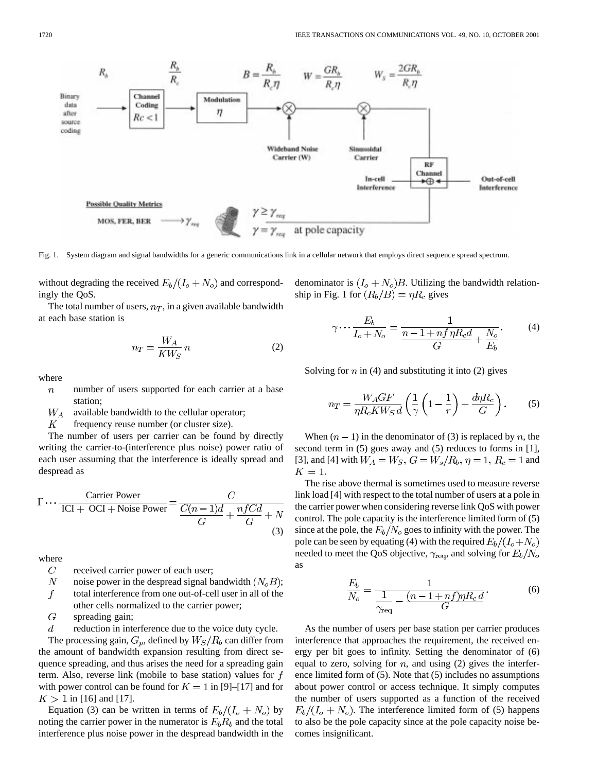Fig. 1. System diagram and signal bandwidths for a generic communications link in a cellular network that employs direct sequence spread spectrum.

without degrading the received  $E_b/(I_o+N_o)$  and correspondingly the QoS.

The total number of users,  $n_T$ , in a given available bandwidth at each base station is

$$
n_T = \frac{W_A}{K W_S} n \tag{2}
$$

where

- number of users supported for each carrier at a base  $\boldsymbol{n}$ station;
- $W_A$ available bandwidth to the cellular operator;
- $\boldsymbol{K}$ frequency reuse number (or cluster size).

The number of users per carrier can be found by directly writing the carrier-to-(interference plus noise) power ratio of each user assuming that the interference is ideally spread and despread as

$$
\Gamma \cdots \frac{\text{Carrier Power}}{\text{ICI} + \text{OCI} + \text{Noise Power}} = \frac{C}{\frac{C(n-1)d}{G} + \frac{nfCd}{G} + N}
$$
(3)

where

- $\overline{C}$ received carrier power of each user;
- $\,N$ noise power in the despread signal bandwidth  $(N_oB)$ ;

 $\boldsymbol{f}$ total interference from one out-of-cell user in all of the other cells normalized to the carrier power;

 $\overline{G}$ spreading gain;

 $\boldsymbol{d}$ reduction in interference due to the voice duty cycle.

The processing gain,  $G_p$ , defined by  $W_S/R_b$  can differ from the amount of bandwidth expansion resulting from direct sequence spreading, and thus arises the need for a spreading gain term. Also, reverse link (mobile to base station) values for  $f$ with power control can be found for  $K = 1$  in [9]–[17] and for  $K > 1$  in [16] and [17].

Equation (3) can be written in terms of  $E_b/(I_o + N_o)$  by noting the carrier power in the numerator is  $E_b R_b$  and the total interference plus noise power in the despread bandwidth in the denominator is  $(I_o + N_o)B$ . Utilizing the bandwidth relationship in Fig. 1 for  $(R_b/B) = \eta R_c$  gives

$$
\gamma \cdots \frac{E_b}{I_o + N_o} = \frac{1}{\frac{n - 1 + nf\eta R_c d}{G} + \frac{N_o}{E_b}}.
$$
 (4)

Solving for  $n$  in (4) and substituting it into (2) gives

$$
n_T = \frac{W_A GF}{\eta R_c KW_S d} \left( \frac{1}{\gamma} \left( 1 - \frac{1}{r} \right) + \frac{d\eta R_c}{G} \right). \tag{5}
$$

When  $(n - 1)$  in the denominator of (3) is replaced by n, the second term in (5) goes away and (5) reduces to forms in [1], [3], and [4] with  $W_A = W_S$ ,  $G = W_s/R_b$ ,  $\eta = 1$ ,  $R_c = 1$  and  $K=1$ .

The rise above thermal is sometimes used to measure reverse link load [4] with respect to the total number of users at a pole in the carrier power when considering reverse link QoS with power control. The pole capacity is the interference limited form of (5) since at the pole, the  $E_b/N_o$  goes to infinity with the power. The pole can be seen by equating (4) with the required  $E_b/(I_o+N_o)$ needed to meet the QoS objective,  $\gamma_{\text{req}}$ , and solving for  $E_b/N_o$ as

$$
\frac{E_b}{N_o} = \frac{1}{\frac{1}{\gamma_{\text{req}}} - \frac{(n-1+n f)\eta R_c d}{G}}.\tag{6}
$$

As the number of users per base station per carrier produces interference that approaches the requirement, the received energy per bit goes to infinity. Setting the denominator of (6) equal to zero, solving for  $n$ , and using (2) gives the interference limited form of (5). Note that (5) includes no assumptions about power control or access technique. It simply computes the number of users supported as a function of the received  $E_b/(I_o + N_o)$ . The interference limited form of (5) happens to also be the pole capacity since at the pole capacity noise becomes insignificant.

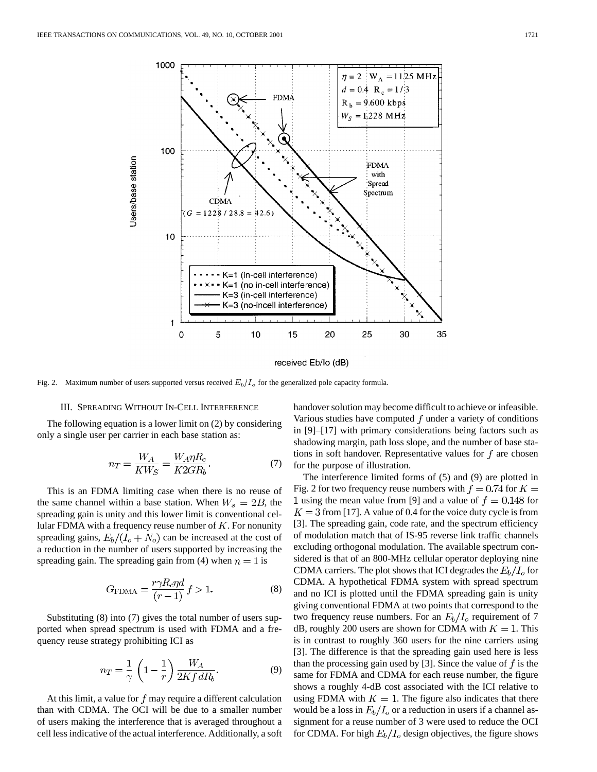

received Eb/Io (dB)

Fig. 2. Maximum number of users supported versus received  $E_b/I_o$  for the generalized pole capacity formula.

## III. SPREADING WITHOUT IN-CELL INTERFERENCE

The following equation is a lower limit on (2) by considering only a single user per carrier in each base station as:

$$
n_T = \frac{W_A}{KW_S} = \frac{W_A \eta R_c}{K2GR_b}.\tag{7}
$$

This is an FDMA limiting case when there is no reuse of the same channel within a base station. When  $W_s = 2B$ , the spreading gain is unity and this lower limit is conventional cellular FDMA with a frequency reuse number of  $K$ . For nonunity spreading gains,  $E_b/(I_o + N_o)$  can be increased at the cost of a reduction in the number of users supported by increasing the spreading gain. The spreading gain from (4) when  $n = 1$  is

$$
G_{\text{FDMA}} = \frac{r\gamma R_c \eta d}{(r-1)} f > 1.
$$
 (8)

Substituting (8) into (7) gives the total number of users supported when spread spectrum is used with FDMA and a frequency reuse strategy prohibiting ICI as

$$
n_T = \frac{1}{\gamma} \left( 1 - \frac{1}{r} \right) \frac{W_A}{2Kf dR_b}.
$$
 (9)

At this limit, a value for  $f$  may require a different calculation than with CDMA. The OCI will be due to a smaller number of users making the interference that is averaged throughout a cell less indicative of the actual interference. Additionally, a soft handover solution may become difficult to achieve or infeasible. Various studies have computed  $f$  under a variety of conditions in [9]–[17] with primary considerations being factors such as shadowing margin, path loss slope, and the number of base stations in soft handover. Representative values for  $f$  are chosen for the purpose of illustration.

The interference limited forms of (5) and (9) are plotted in Fig. 2 for two frequency reuse numbers with  $f = 0.74$  for  $K =$ 1 using the mean value from [9] and a value of  $f = 0.148$  for  $K = 3$  from [17]. A value of 0.4 for the voice duty cycle is from [3]. The spreading gain, code rate, and the spectrum efficiency of modulation match that of IS-95 reverse link traffic channels excluding orthogonal modulation. The available spectrum considered is that of an 800-MHz cellular operator deploying nine CDMA carriers. The plot shows that ICI degrades the  $E_b/I_o$  for CDMA. A hypothetical FDMA system with spread spectrum and no ICI is plotted until the FDMA spreading gain is unity giving conventional FDMA at two points that correspond to the two frequency reuse numbers. For an  $E_b/I_o$  requirement of 7 dB, roughly 200 users are shown for CDMA with  $K = 1$ . This is in contrast to roughly 360 users for the nine carriers using [3]. The difference is that the spreading gain used here is less than the processing gain used by [3]. Since the value of  $f$  is the same for FDMA and CDMA for each reuse number, the figure shows a roughly 4-dB cost associated with the ICI relative to using FDMA with  $K = 1$ . The figure also indicates that there would be a loss in  $E_b/I_o$  or a reduction in users if a channel assignment for a reuse number of 3 were used to reduce the OCI for CDMA. For high  $E_b/I_o$  design objectives, the figure shows